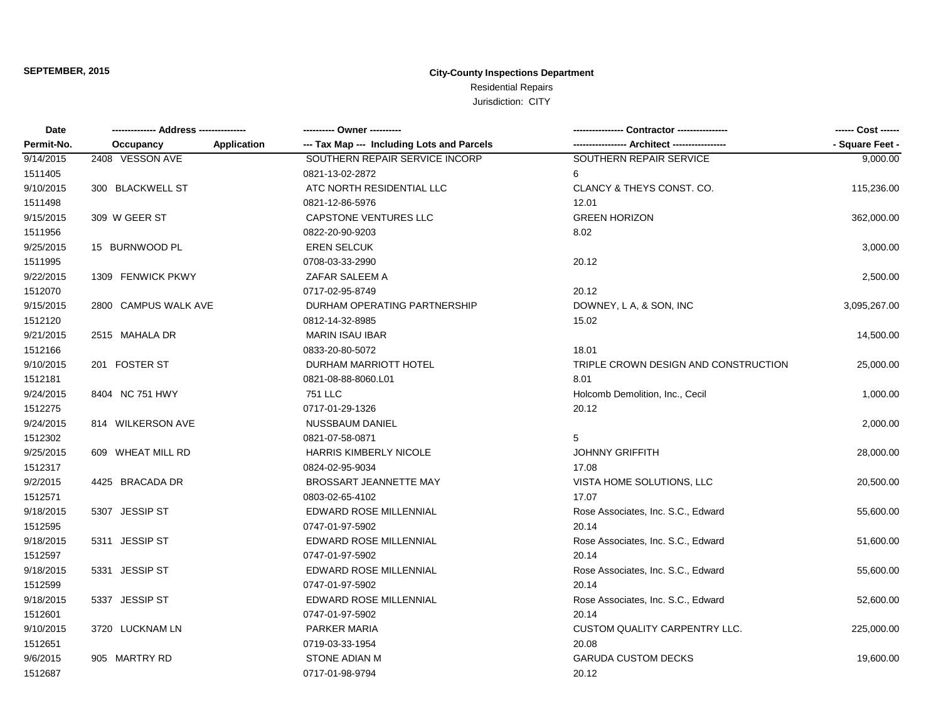| Date       | ------------- Address --------------- |             |                                            | Contractor ---------------           | ------ Cost ------ |
|------------|---------------------------------------|-------------|--------------------------------------------|--------------------------------------|--------------------|
| Permit-No. | Occupancy                             | Application | --- Tax Map --- Including Lots and Parcels | - Architect -----------------        | - Square Feet -    |
| 9/14/2015  | 2408 VESSON AVE                       |             | SOUTHERN REPAIR SERVICE INCORP             | SOUTHERN REPAIR SERVICE              | 9,000.00           |
| 1511405    |                                       |             | 0821-13-02-2872                            | 6                                    |                    |
| 9/10/2015  | 300 BLACKWELL ST                      |             | ATC NORTH RESIDENTIAL LLC                  | CLANCY & THEYS CONST. CO.            | 115,236.00         |
| 1511498    |                                       |             | 0821-12-86-5976                            | 12.01                                |                    |
| 9/15/2015  | 309 W GEER ST                         |             | <b>CAPSTONE VENTURES LLC</b>               | <b>GREEN HORIZON</b>                 | 362,000.00         |
| 1511956    |                                       |             | 0822-20-90-9203                            | 8.02                                 |                    |
| 9/25/2015  | 15 BURNWOOD PL                        |             | <b>EREN SELCUK</b>                         |                                      | 3,000.00           |
| 1511995    |                                       |             | 0708-03-33-2990                            | 20.12                                |                    |
| 9/22/2015  | 1309 FENWICK PKWY                     |             | ZAFAR SALEEM A                             |                                      | 2,500.00           |
| 1512070    |                                       |             | 0717-02-95-8749                            | 20.12                                |                    |
| 9/15/2015  | 2800 CAMPUS WALK AVE                  |             | DURHAM OPERATING PARTNERSHIP               | DOWNEY, L A, & SON, INC              | 3,095,267.00       |
| 1512120    |                                       |             | 0812-14-32-8985                            | 15.02                                |                    |
| 9/21/2015  | 2515 MAHALA DR                        |             | <b>MARIN ISAU IBAR</b>                     |                                      | 14,500.00          |
| 1512166    |                                       |             | 0833-20-80-5072                            | 18.01                                |                    |
| 9/10/2015  | 201 FOSTER ST                         |             | DURHAM MARRIOTT HOTEL                      | TRIPLE CROWN DESIGN AND CONSTRUCTION | 25,000.00          |
| 1512181    |                                       |             | 0821-08-88-8060.L01                        | 8.01                                 |                    |
| 9/24/2015  | 8404 NC 751 HWY                       |             | <b>751 LLC</b>                             | Holcomb Demolition, Inc., Cecil      | 1,000.00           |
| 1512275    |                                       |             | 0717-01-29-1326                            | 20.12                                |                    |
| 9/24/2015  | 814 WILKERSON AVE                     |             | <b>NUSSBAUM DANIEL</b>                     |                                      | 2,000.00           |
| 1512302    |                                       |             | 0821-07-58-0871                            | 5                                    |                    |
| 9/25/2015  | 609 WHEAT MILL RD                     |             | HARRIS KIMBERLY NICOLE                     | <b>JOHNNY GRIFFITH</b>               | 28,000.00          |
| 1512317    |                                       |             | 0824-02-95-9034                            | 17.08                                |                    |
| 9/2/2015   | 4425 BRACADA DR                       |             | BROSSART JEANNETTE MAY                     | VISTA HOME SOLUTIONS, LLC            | 20,500.00          |
| 1512571    |                                       |             | 0803-02-65-4102                            | 17.07                                |                    |
| 9/18/2015  | 5307 JESSIP ST                        |             | EDWARD ROSE MILLENNIAL                     | Rose Associates, Inc. S.C., Edward   | 55,600.00          |
| 1512595    |                                       |             | 0747-01-97-5902                            | 20.14                                |                    |
| 9/18/2015  | 5311 JESSIP ST                        |             | EDWARD ROSE MILLENNIAL                     | Rose Associates, Inc. S.C., Edward   | 51,600.00          |
| 1512597    |                                       |             | 0747-01-97-5902                            | 20.14                                |                    |
| 9/18/2015  | 5331 JESSIP ST                        |             | <b>EDWARD ROSE MILLENNIAL</b>              | Rose Associates, Inc. S.C., Edward   | 55,600.00          |
| 1512599    |                                       |             | 0747-01-97-5902                            | 20.14                                |                    |
| 9/18/2015  | 5337 JESSIP ST                        |             | <b>EDWARD ROSE MILLENNIAL</b>              | Rose Associates, Inc. S.C., Edward   | 52,600.00          |
| 1512601    |                                       |             | 0747-01-97-5902                            | 20.14                                |                    |
| 9/10/2015  | 3720 LUCKNAM LN                       |             | PARKER MARIA                               | <b>CUSTOM QUALITY CARPENTRY LLC.</b> | 225,000.00         |
| 1512651    |                                       |             | 0719-03-33-1954                            | 20.08                                |                    |
| 9/6/2015   | 905 MARTRY RD                         |             | <b>STONE ADIAN M</b>                       | <b>GARUDA CUSTOM DECKS</b>           | 19,600.00          |
| 1512687    |                                       |             | 0717-01-98-9794                            | 20.12                                |                    |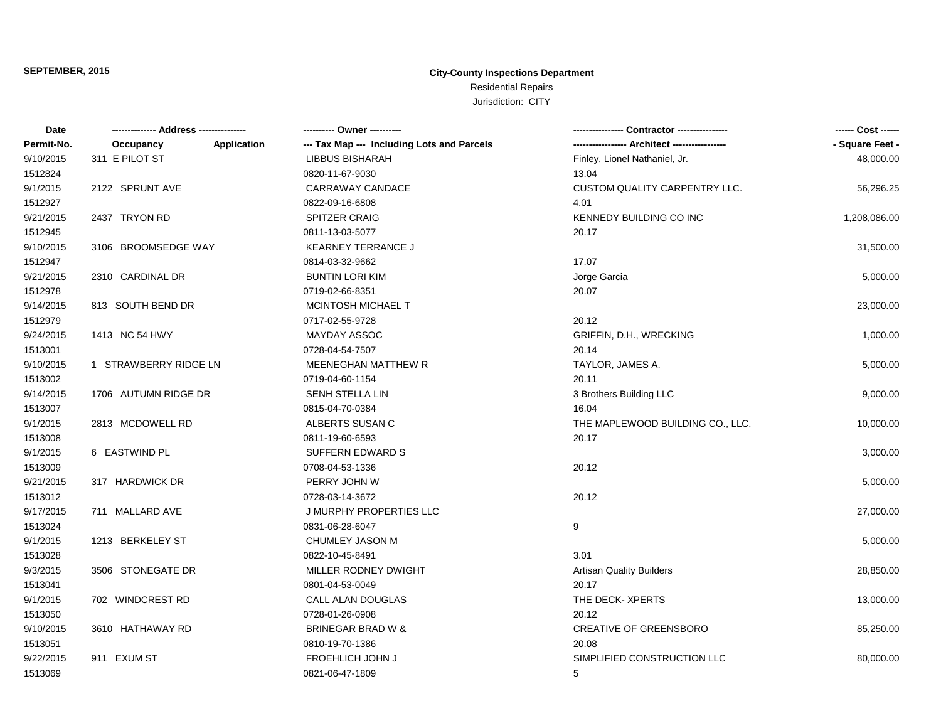| Permit-No.<br>--- Tax Map --- Including Lots and Parcels<br>- Square Feet -<br><b>Application</b><br>Occupancy<br>311 E PILOT ST<br>9/10/2015<br>LIBBUS BISHARAH<br>Finley, Lionel Nathaniel, Jr.<br>48,000.00<br>13.04<br>1512824<br>0820-11-67-9030<br>9/1/2015<br>2122 SPRUNT AVE<br>CARRAWAY CANDACE<br>CUSTOM QUALITY CARPENTRY LLC.<br>56,296.25<br>4.01<br>0822-09-16-6808<br>1512927<br>9/21/2015<br>2437 TRYON RD<br><b>SPITZER CRAIG</b><br>KENNEDY BUILDING CO INC<br>1,208,086.00<br>1512945<br>0811-13-03-5077<br>20.17<br>9/10/2015<br>3106 BROOMSEDGE WAY<br><b>KEARNEY TERRANCE J</b><br>31,500.00<br>17.07<br>1512947<br>0814-03-32-9662<br>9/21/2015<br>2310 CARDINAL DR<br><b>BUNTIN LORI KIM</b><br>Jorge Garcia<br>5,000.00<br>1512978<br>0719-02-66-8351<br>20.07<br>9/14/2015<br>813 SOUTH BEND DR<br><b>MCINTOSH MICHAEL T</b><br>23,000.00<br>20.12<br>1512979<br>0717-02-55-9728<br>9/24/2015<br>1413 NC 54 HWY<br>MAYDAY ASSOC<br>GRIFFIN, D.H., WRECKING<br>1,000.00<br>1513001<br>0728-04-54-7507<br>20.14<br>9/10/2015<br>1 STRAWBERRY RIDGE LN<br><b>MEENEGHAN MATTHEW R</b><br>TAYLOR, JAMES A.<br>5,000.00<br>1513002<br>20.11<br>0719-04-60-1154<br>9/14/2015<br>1706 AUTUMN RIDGE DR<br>SENH STELLA LIN<br>3 Brothers Building LLC<br>9,000.00<br>1513007<br>0815-04-70-0384<br>16.04<br>9/1/2015<br>2813 MCDOWELL RD<br>ALBERTS SUSAN C<br>THE MAPLEWOOD BUILDING CO., LLC.<br>10,000.00<br>1513008<br>0811-19-60-6593<br>20.17<br>9/1/2015<br>6 EASTWIND PL<br><b>SUFFERN EDWARD S</b><br>3,000.00<br>1513009<br>0708-04-53-1336<br>20.12<br>9/21/2015<br>317 HARDWICK DR<br>PERRY JOHN W<br>5,000.00<br>20.12<br>1513012<br>0728-03-14-3672<br>9/17/2015<br>711 MALLARD AVE<br>J MURPHY PROPERTIES LLC<br>27,000.00<br>9<br>1513024<br>0831-06-28-6047<br>9/1/2015<br>CHUMLEY JASON M<br>1213 BERKELEY ST<br>5,000.00<br>3.01<br>1513028<br>0822-10-45-8491<br>9/3/2015<br>3506 STONEGATE DR<br>MILLER RODNEY DWIGHT<br><b>Artisan Quality Builders</b><br>28,850.00<br>0801-04-53-0049<br>20.17<br>1513041<br>THE DECK-XPERTS<br>9/1/2015<br>702 WINDCREST RD<br>CALL ALAN DOUGLAS<br>13,000.00<br>0728-01-26-0908<br>20.12<br>1513050<br>9/10/2015<br>3610 HATHAWAY RD<br><b>BRINEGAR BRAD W &amp;</b><br><b>CREATIVE OF GREENSBORO</b><br>85,250.00<br>1513051<br>0810-19-70-1386<br>20.08<br>FROEHLICH JOHN J<br>9/22/2015<br>911 EXUM ST<br>SIMPLIFIED CONSTRUCTION LLC<br>80,000.00<br>1513069<br>0821-06-47-1809<br>5 | Date | ---------- Owner ---------- | ------ Cost ------ |
|--------------------------------------------------------------------------------------------------------------------------------------------------------------------------------------------------------------------------------------------------------------------------------------------------------------------------------------------------------------------------------------------------------------------------------------------------------------------------------------------------------------------------------------------------------------------------------------------------------------------------------------------------------------------------------------------------------------------------------------------------------------------------------------------------------------------------------------------------------------------------------------------------------------------------------------------------------------------------------------------------------------------------------------------------------------------------------------------------------------------------------------------------------------------------------------------------------------------------------------------------------------------------------------------------------------------------------------------------------------------------------------------------------------------------------------------------------------------------------------------------------------------------------------------------------------------------------------------------------------------------------------------------------------------------------------------------------------------------------------------------------------------------------------------------------------------------------------------------------------------------------------------------------------------------------------------------------------------------------------------------------------------------------------------------------------------------------------------------------------------------------------------------------------------------------------------------------------------------------------------------------------------------------------------------------------------------------------------------------------------------------------------------------------------------------------------------------------------|------|-----------------------------|--------------------|
|                                                                                                                                                                                                                                                                                                                                                                                                                                                                                                                                                                                                                                                                                                                                                                                                                                                                                                                                                                                                                                                                                                                                                                                                                                                                                                                                                                                                                                                                                                                                                                                                                                                                                                                                                                                                                                                                                                                                                                                                                                                                                                                                                                                                                                                                                                                                                                                                                                                                    |      |                             |                    |
|                                                                                                                                                                                                                                                                                                                                                                                                                                                                                                                                                                                                                                                                                                                                                                                                                                                                                                                                                                                                                                                                                                                                                                                                                                                                                                                                                                                                                                                                                                                                                                                                                                                                                                                                                                                                                                                                                                                                                                                                                                                                                                                                                                                                                                                                                                                                                                                                                                                                    |      |                             |                    |
|                                                                                                                                                                                                                                                                                                                                                                                                                                                                                                                                                                                                                                                                                                                                                                                                                                                                                                                                                                                                                                                                                                                                                                                                                                                                                                                                                                                                                                                                                                                                                                                                                                                                                                                                                                                                                                                                                                                                                                                                                                                                                                                                                                                                                                                                                                                                                                                                                                                                    |      |                             |                    |
|                                                                                                                                                                                                                                                                                                                                                                                                                                                                                                                                                                                                                                                                                                                                                                                                                                                                                                                                                                                                                                                                                                                                                                                                                                                                                                                                                                                                                                                                                                                                                                                                                                                                                                                                                                                                                                                                                                                                                                                                                                                                                                                                                                                                                                                                                                                                                                                                                                                                    |      |                             |                    |
|                                                                                                                                                                                                                                                                                                                                                                                                                                                                                                                                                                                                                                                                                                                                                                                                                                                                                                                                                                                                                                                                                                                                                                                                                                                                                                                                                                                                                                                                                                                                                                                                                                                                                                                                                                                                                                                                                                                                                                                                                                                                                                                                                                                                                                                                                                                                                                                                                                                                    |      |                             |                    |
|                                                                                                                                                                                                                                                                                                                                                                                                                                                                                                                                                                                                                                                                                                                                                                                                                                                                                                                                                                                                                                                                                                                                                                                                                                                                                                                                                                                                                                                                                                                                                                                                                                                                                                                                                                                                                                                                                                                                                                                                                                                                                                                                                                                                                                                                                                                                                                                                                                                                    |      |                             |                    |
|                                                                                                                                                                                                                                                                                                                                                                                                                                                                                                                                                                                                                                                                                                                                                                                                                                                                                                                                                                                                                                                                                                                                                                                                                                                                                                                                                                                                                                                                                                                                                                                                                                                                                                                                                                                                                                                                                                                                                                                                                                                                                                                                                                                                                                                                                                                                                                                                                                                                    |      |                             |                    |
|                                                                                                                                                                                                                                                                                                                                                                                                                                                                                                                                                                                                                                                                                                                                                                                                                                                                                                                                                                                                                                                                                                                                                                                                                                                                                                                                                                                                                                                                                                                                                                                                                                                                                                                                                                                                                                                                                                                                                                                                                                                                                                                                                                                                                                                                                                                                                                                                                                                                    |      |                             |                    |
|                                                                                                                                                                                                                                                                                                                                                                                                                                                                                                                                                                                                                                                                                                                                                                                                                                                                                                                                                                                                                                                                                                                                                                                                                                                                                                                                                                                                                                                                                                                                                                                                                                                                                                                                                                                                                                                                                                                                                                                                                                                                                                                                                                                                                                                                                                                                                                                                                                                                    |      |                             |                    |
|                                                                                                                                                                                                                                                                                                                                                                                                                                                                                                                                                                                                                                                                                                                                                                                                                                                                                                                                                                                                                                                                                                                                                                                                                                                                                                                                                                                                                                                                                                                                                                                                                                                                                                                                                                                                                                                                                                                                                                                                                                                                                                                                                                                                                                                                                                                                                                                                                                                                    |      |                             |                    |
|                                                                                                                                                                                                                                                                                                                                                                                                                                                                                                                                                                                                                                                                                                                                                                                                                                                                                                                                                                                                                                                                                                                                                                                                                                                                                                                                                                                                                                                                                                                                                                                                                                                                                                                                                                                                                                                                                                                                                                                                                                                                                                                                                                                                                                                                                                                                                                                                                                                                    |      |                             |                    |
|                                                                                                                                                                                                                                                                                                                                                                                                                                                                                                                                                                                                                                                                                                                                                                                                                                                                                                                                                                                                                                                                                                                                                                                                                                                                                                                                                                                                                                                                                                                                                                                                                                                                                                                                                                                                                                                                                                                                                                                                                                                                                                                                                                                                                                                                                                                                                                                                                                                                    |      |                             |                    |
|                                                                                                                                                                                                                                                                                                                                                                                                                                                                                                                                                                                                                                                                                                                                                                                                                                                                                                                                                                                                                                                                                                                                                                                                                                                                                                                                                                                                                                                                                                                                                                                                                                                                                                                                                                                                                                                                                                                                                                                                                                                                                                                                                                                                                                                                                                                                                                                                                                                                    |      |                             |                    |
|                                                                                                                                                                                                                                                                                                                                                                                                                                                                                                                                                                                                                                                                                                                                                                                                                                                                                                                                                                                                                                                                                                                                                                                                                                                                                                                                                                                                                                                                                                                                                                                                                                                                                                                                                                                                                                                                                                                                                                                                                                                                                                                                                                                                                                                                                                                                                                                                                                                                    |      |                             |                    |
|                                                                                                                                                                                                                                                                                                                                                                                                                                                                                                                                                                                                                                                                                                                                                                                                                                                                                                                                                                                                                                                                                                                                                                                                                                                                                                                                                                                                                                                                                                                                                                                                                                                                                                                                                                                                                                                                                                                                                                                                                                                                                                                                                                                                                                                                                                                                                                                                                                                                    |      |                             |                    |
|                                                                                                                                                                                                                                                                                                                                                                                                                                                                                                                                                                                                                                                                                                                                                                                                                                                                                                                                                                                                                                                                                                                                                                                                                                                                                                                                                                                                                                                                                                                                                                                                                                                                                                                                                                                                                                                                                                                                                                                                                                                                                                                                                                                                                                                                                                                                                                                                                                                                    |      |                             |                    |
|                                                                                                                                                                                                                                                                                                                                                                                                                                                                                                                                                                                                                                                                                                                                                                                                                                                                                                                                                                                                                                                                                                                                                                                                                                                                                                                                                                                                                                                                                                                                                                                                                                                                                                                                                                                                                                                                                                                                                                                                                                                                                                                                                                                                                                                                                                                                                                                                                                                                    |      |                             |                    |
|                                                                                                                                                                                                                                                                                                                                                                                                                                                                                                                                                                                                                                                                                                                                                                                                                                                                                                                                                                                                                                                                                                                                                                                                                                                                                                                                                                                                                                                                                                                                                                                                                                                                                                                                                                                                                                                                                                                                                                                                                                                                                                                                                                                                                                                                                                                                                                                                                                                                    |      |                             |                    |
|                                                                                                                                                                                                                                                                                                                                                                                                                                                                                                                                                                                                                                                                                                                                                                                                                                                                                                                                                                                                                                                                                                                                                                                                                                                                                                                                                                                                                                                                                                                                                                                                                                                                                                                                                                                                                                                                                                                                                                                                                                                                                                                                                                                                                                                                                                                                                                                                                                                                    |      |                             |                    |
|                                                                                                                                                                                                                                                                                                                                                                                                                                                                                                                                                                                                                                                                                                                                                                                                                                                                                                                                                                                                                                                                                                                                                                                                                                                                                                                                                                                                                                                                                                                                                                                                                                                                                                                                                                                                                                                                                                                                                                                                                                                                                                                                                                                                                                                                                                                                                                                                                                                                    |      |                             |                    |
|                                                                                                                                                                                                                                                                                                                                                                                                                                                                                                                                                                                                                                                                                                                                                                                                                                                                                                                                                                                                                                                                                                                                                                                                                                                                                                                                                                                                                                                                                                                                                                                                                                                                                                                                                                                                                                                                                                                                                                                                                                                                                                                                                                                                                                                                                                                                                                                                                                                                    |      |                             |                    |
|                                                                                                                                                                                                                                                                                                                                                                                                                                                                                                                                                                                                                                                                                                                                                                                                                                                                                                                                                                                                                                                                                                                                                                                                                                                                                                                                                                                                                                                                                                                                                                                                                                                                                                                                                                                                                                                                                                                                                                                                                                                                                                                                                                                                                                                                                                                                                                                                                                                                    |      |                             |                    |
|                                                                                                                                                                                                                                                                                                                                                                                                                                                                                                                                                                                                                                                                                                                                                                                                                                                                                                                                                                                                                                                                                                                                                                                                                                                                                                                                                                                                                                                                                                                                                                                                                                                                                                                                                                                                                                                                                                                                                                                                                                                                                                                                                                                                                                                                                                                                                                                                                                                                    |      |                             |                    |
|                                                                                                                                                                                                                                                                                                                                                                                                                                                                                                                                                                                                                                                                                                                                                                                                                                                                                                                                                                                                                                                                                                                                                                                                                                                                                                                                                                                                                                                                                                                                                                                                                                                                                                                                                                                                                                                                                                                                                                                                                                                                                                                                                                                                                                                                                                                                                                                                                                                                    |      |                             |                    |
|                                                                                                                                                                                                                                                                                                                                                                                                                                                                                                                                                                                                                                                                                                                                                                                                                                                                                                                                                                                                                                                                                                                                                                                                                                                                                                                                                                                                                                                                                                                                                                                                                                                                                                                                                                                                                                                                                                                                                                                                                                                                                                                                                                                                                                                                                                                                                                                                                                                                    |      |                             |                    |
|                                                                                                                                                                                                                                                                                                                                                                                                                                                                                                                                                                                                                                                                                                                                                                                                                                                                                                                                                                                                                                                                                                                                                                                                                                                                                                                                                                                                                                                                                                                                                                                                                                                                                                                                                                                                                                                                                                                                                                                                                                                                                                                                                                                                                                                                                                                                                                                                                                                                    |      |                             |                    |
|                                                                                                                                                                                                                                                                                                                                                                                                                                                                                                                                                                                                                                                                                                                                                                                                                                                                                                                                                                                                                                                                                                                                                                                                                                                                                                                                                                                                                                                                                                                                                                                                                                                                                                                                                                                                                                                                                                                                                                                                                                                                                                                                                                                                                                                                                                                                                                                                                                                                    |      |                             |                    |
|                                                                                                                                                                                                                                                                                                                                                                                                                                                                                                                                                                                                                                                                                                                                                                                                                                                                                                                                                                                                                                                                                                                                                                                                                                                                                                                                                                                                                                                                                                                                                                                                                                                                                                                                                                                                                                                                                                                                                                                                                                                                                                                                                                                                                                                                                                                                                                                                                                                                    |      |                             |                    |
|                                                                                                                                                                                                                                                                                                                                                                                                                                                                                                                                                                                                                                                                                                                                                                                                                                                                                                                                                                                                                                                                                                                                                                                                                                                                                                                                                                                                                                                                                                                                                                                                                                                                                                                                                                                                                                                                                                                                                                                                                                                                                                                                                                                                                                                                                                                                                                                                                                                                    |      |                             |                    |
|                                                                                                                                                                                                                                                                                                                                                                                                                                                                                                                                                                                                                                                                                                                                                                                                                                                                                                                                                                                                                                                                                                                                                                                                                                                                                                                                                                                                                                                                                                                                                                                                                                                                                                                                                                                                                                                                                                                                                                                                                                                                                                                                                                                                                                                                                                                                                                                                                                                                    |      |                             |                    |
|                                                                                                                                                                                                                                                                                                                                                                                                                                                                                                                                                                                                                                                                                                                                                                                                                                                                                                                                                                                                                                                                                                                                                                                                                                                                                                                                                                                                                                                                                                                                                                                                                                                                                                                                                                                                                                                                                                                                                                                                                                                                                                                                                                                                                                                                                                                                                                                                                                                                    |      |                             |                    |
|                                                                                                                                                                                                                                                                                                                                                                                                                                                                                                                                                                                                                                                                                                                                                                                                                                                                                                                                                                                                                                                                                                                                                                                                                                                                                                                                                                                                                                                                                                                                                                                                                                                                                                                                                                                                                                                                                                                                                                                                                                                                                                                                                                                                                                                                                                                                                                                                                                                                    |      |                             |                    |
|                                                                                                                                                                                                                                                                                                                                                                                                                                                                                                                                                                                                                                                                                                                                                                                                                                                                                                                                                                                                                                                                                                                                                                                                                                                                                                                                                                                                                                                                                                                                                                                                                                                                                                                                                                                                                                                                                                                                                                                                                                                                                                                                                                                                                                                                                                                                                                                                                                                                    |      |                             |                    |
|                                                                                                                                                                                                                                                                                                                                                                                                                                                                                                                                                                                                                                                                                                                                                                                                                                                                                                                                                                                                                                                                                                                                                                                                                                                                                                                                                                                                                                                                                                                                                                                                                                                                                                                                                                                                                                                                                                                                                                                                                                                                                                                                                                                                                                                                                                                                                                                                                                                                    |      |                             |                    |
|                                                                                                                                                                                                                                                                                                                                                                                                                                                                                                                                                                                                                                                                                                                                                                                                                                                                                                                                                                                                                                                                                                                                                                                                                                                                                                                                                                                                                                                                                                                                                                                                                                                                                                                                                                                                                                                                                                                                                                                                                                                                                                                                                                                                                                                                                                                                                                                                                                                                    |      |                             |                    |
|                                                                                                                                                                                                                                                                                                                                                                                                                                                                                                                                                                                                                                                                                                                                                                                                                                                                                                                                                                                                                                                                                                                                                                                                                                                                                                                                                                                                                                                                                                                                                                                                                                                                                                                                                                                                                                                                                                                                                                                                                                                                                                                                                                                                                                                                                                                                                                                                                                                                    |      |                             |                    |
|                                                                                                                                                                                                                                                                                                                                                                                                                                                                                                                                                                                                                                                                                                                                                                                                                                                                                                                                                                                                                                                                                                                                                                                                                                                                                                                                                                                                                                                                                                                                                                                                                                                                                                                                                                                                                                                                                                                                                                                                                                                                                                                                                                                                                                                                                                                                                                                                                                                                    |      |                             |                    |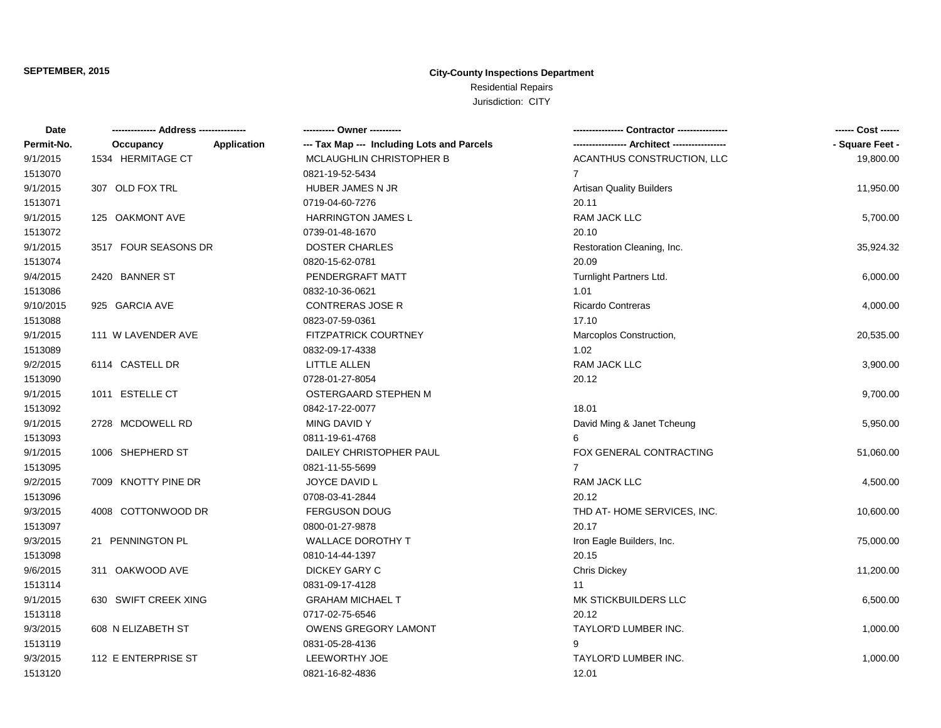| <b>Date</b> |                          | ---------- Owner ----------                |                                 | ------ Cost ------ |
|-------------|--------------------------|--------------------------------------------|---------------------------------|--------------------|
| Permit-No.  | Occupancy<br>Application | --- Tax Map --- Including Lots and Parcels |                                 | - Square Feet -    |
| 9/1/2015    | 1534 HERMITAGE CT        | MCLAUGHLIN CHRISTOPHER B                   | ACANTHUS CONSTRUCTION, LLC      | 19,800.00          |
| 1513070     |                          | 0821-19-52-5434                            | $\overline{7}$                  |                    |
| 9/1/2015    | 307 OLD FOX TRL          | HUBER JAMES N JR                           | <b>Artisan Quality Builders</b> | 11,950.00          |
| 1513071     |                          | 0719-04-60-7276                            | 20.11                           |                    |
| 9/1/2015    | 125 OAKMONT AVE          | <b>HARRINGTON JAMES L</b>                  | RAM JACK LLC                    | 5,700.00           |
| 1513072     |                          | 0739-01-48-1670                            | 20.10                           |                    |
| 9/1/2015    | 3517 FOUR SEASONS DR     | <b>DOSTER CHARLES</b>                      | Restoration Cleaning, Inc.      | 35,924.32          |
| 1513074     |                          | 0820-15-62-0781                            | 20.09                           |                    |
| 9/4/2015    | 2420 BANNER ST           | PENDERGRAFT MATT                           | Turnlight Partners Ltd.         | 6,000.00           |
| 1513086     |                          | 0832-10-36-0621                            | 1.01                            |                    |
| 9/10/2015   | 925 GARCIA AVE           | <b>CONTRERAS JOSE R</b>                    | <b>Ricardo Contreras</b>        | 4,000.00           |
| 1513088     |                          | 0823-07-59-0361                            | 17.10                           |                    |
| 9/1/2015    | 111 W LAVENDER AVE       | <b>FITZPATRICK COURTNEY</b>                | Marcoplos Construction,         | 20,535.00          |
| 1513089     |                          | 0832-09-17-4338                            | 1.02                            |                    |
| 9/2/2015    | 6114 CASTELL DR          | LITTLE ALLEN                               | RAM JACK LLC                    | 3,900.00           |
| 1513090     |                          | 0728-01-27-8054                            | 20.12                           |                    |
| 9/1/2015    | 1011 ESTELLE CT          | OSTERGAARD STEPHEN M                       |                                 | 9,700.00           |
| 1513092     |                          | 0842-17-22-0077                            | 18.01                           |                    |
| 9/1/2015    | 2728 MCDOWELL RD         | MING DAVID Y                               | David Ming & Janet Tcheung      | 5,950.00           |
| 1513093     |                          | 0811-19-61-4768                            | 6                               |                    |
| 9/1/2015    | 1006 SHEPHERD ST         | DAILEY CHRISTOPHER PAUL                    | FOX GENERAL CONTRACTING         | 51,060.00          |
| 1513095     |                          | 0821-11-55-5699                            | $\overline{7}$                  |                    |
| 9/2/2015    | 7009 KNOTTY PINE DR      | JOYCE DAVID L                              | <b>RAM JACK LLC</b>             | 4,500.00           |
| 1513096     |                          | 0708-03-41-2844                            | 20.12                           |                    |
| 9/3/2015    | 4008 COTTONWOOD DR       | FERGUSON DOUG                              | THD AT-HOME SERVICES, INC.      | 10,600.00          |
| 1513097     |                          | 0800-01-27-9878                            | 20.17                           |                    |
| 9/3/2015    | 21 PENNINGTON PL         | <b>WALLACE DOROTHY T</b>                   | Iron Eagle Builders, Inc.       | 75,000.00          |
| 1513098     |                          | 0810-14-44-1397                            | 20.15                           |                    |
| 9/6/2015    | 311 OAKWOOD AVE          | <b>DICKEY GARY C</b>                       | <b>Chris Dickey</b>             | 11,200.00          |
| 1513114     |                          | 0831-09-17-4128                            | 11                              |                    |
| 9/1/2015    | 630 SWIFT CREEK XING     | <b>GRAHAM MICHAEL T</b>                    | MK STICKBUILDERS LLC            | 6,500.00           |
| 1513118     |                          | 0717-02-75-6546                            | 20.12                           |                    |
| 9/3/2015    | 608 N ELIZABETH ST       | <b>OWENS GREGORY LAMONT</b>                | TAYLOR'D LUMBER INC.            | 1,000.00           |
| 1513119     |                          | 0831-05-28-4136                            | 9                               |                    |
| 9/3/2015    | 112 E ENTERPRISE ST      | LEEWORTHY JOE                              | TAYLOR'D LUMBER INC.            | 1,000.00           |
| 1513120     |                          | 0821-16-82-4836                            | 12.01                           |                    |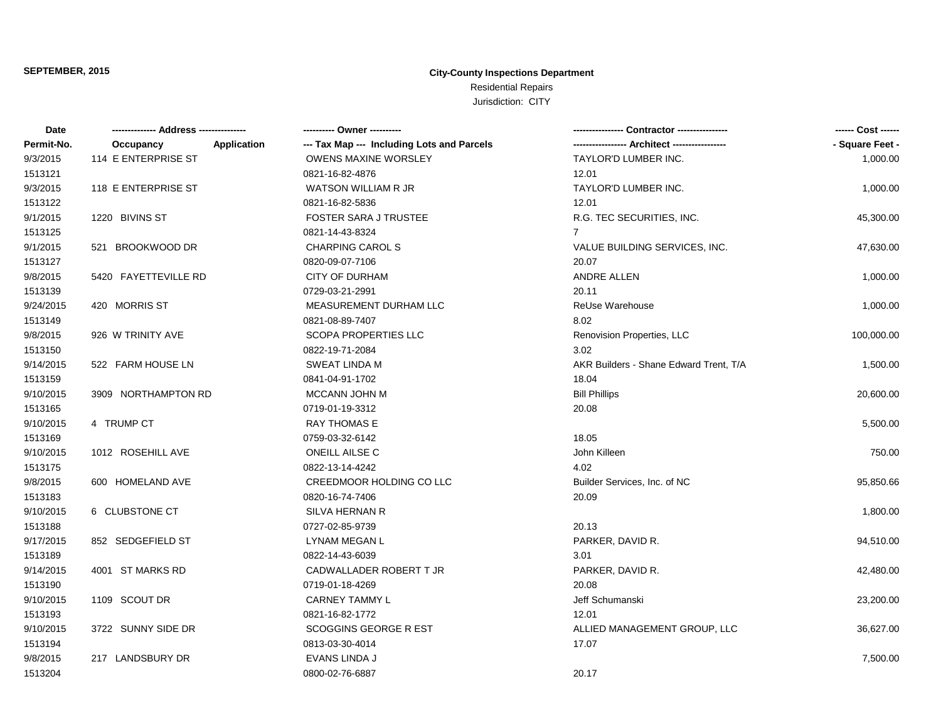| Date       |                      |                    | ---------- Owner ----------                |                                        | ------ Cost ------ |
|------------|----------------------|--------------------|--------------------------------------------|----------------------------------------|--------------------|
| Permit-No. | Occupancy            | <b>Application</b> | --- Tax Map --- Including Lots and Parcels |                                        | - Square Feet -    |
| 9/3/2015   | 114 E ENTERPRISE ST  |                    | <b>OWENS MAXINE WORSLEY</b>                | TAYLOR'D LUMBER INC.                   | 1,000.00           |
| 1513121    |                      |                    | 0821-16-82-4876                            | 12.01                                  |                    |
| 9/3/2015   | 118 E ENTERPRISE ST  |                    | <b>WATSON WILLIAM R JR</b>                 | TAYLOR'D LUMBER INC.                   | 1,000.00           |
| 1513122    |                      |                    | 0821-16-82-5836                            | 12.01                                  |                    |
| 9/1/2015   | 1220 BIVINS ST       |                    | <b>FOSTER SARA J TRUSTEE</b>               | R.G. TEC SECURITIES, INC.              | 45,300.00          |
| 1513125    |                      |                    | 0821-14-43-8324                            | $7^{\circ}$                            |                    |
| 9/1/2015   | 521 BROOKWOOD DR     |                    | <b>CHARPING CAROL S</b>                    | VALUE BUILDING SERVICES, INC.          | 47,630.00          |
| 1513127    |                      |                    | 0820-09-07-7106                            | 20.07                                  |                    |
| 9/8/2015   | 5420 FAYETTEVILLE RD |                    | <b>CITY OF DURHAM</b>                      | ANDRE ALLEN                            | 1,000.00           |
| 1513139    |                      |                    | 0729-03-21-2991                            | 20.11                                  |                    |
| 9/24/2015  | 420 MORRIS ST        |                    | MEASUREMENT DURHAM LLC                     | ReUse Warehouse                        | 1,000.00           |
| 1513149    |                      |                    | 0821-08-89-7407                            | 8.02                                   |                    |
| 9/8/2015   | 926 W TRINITY AVE    |                    | <b>SCOPA PROPERTIES LLC</b>                | Renovision Properties, LLC             | 100,000.00         |
| 1513150    |                      |                    | 0822-19-71-2084                            | 3.02                                   |                    |
| 9/14/2015  | 522 FARM HOUSE LN    |                    | SWEAT LINDA M                              | AKR Builders - Shane Edward Trent, T/A | 1,500.00           |
| 1513159    |                      |                    | 0841-04-91-1702                            | 18.04                                  |                    |
| 9/10/2015  | 3909 NORTHAMPTON RD  |                    | MCCANN JOHN M                              | <b>Bill Phillips</b>                   | 20,600.00          |
| 1513165    |                      |                    | 0719-01-19-3312                            | 20.08                                  |                    |
| 9/10/2015  | 4 TRUMP CT           |                    | <b>RAY THOMAS E</b>                        |                                        | 5,500.00           |
| 1513169    |                      |                    | 0759-03-32-6142                            | 18.05                                  |                    |
| 9/10/2015  | 1012 ROSEHILL AVE    |                    | <b>ONEILL AILSE C</b>                      | John Killeen                           | 750.00             |
| 1513175    |                      |                    | 0822-13-14-4242                            | 4.02                                   |                    |
| 9/8/2015   | 600 HOMELAND AVE     |                    | CREEDMOOR HOLDING CO LLC                   | Builder Services, Inc. of NC           | 95,850.66          |
| 1513183    |                      |                    | 0820-16-74-7406                            | 20.09                                  |                    |
| 9/10/2015  | 6 CLUBSTONE CT       |                    | <b>SILVA HERNAN R</b>                      |                                        | 1,800.00           |
| 1513188    |                      |                    | 0727-02-85-9739                            | 20.13                                  |                    |
| 9/17/2015  | 852 SEDGEFIELD ST    |                    | LYNAM MEGAN L                              | PARKER, DAVID R.                       | 94,510.00          |
| 1513189    |                      |                    | 0822-14-43-6039                            | 3.01                                   |                    |
| 9/14/2015  | 4001 ST MARKS RD     |                    | CADWALLADER ROBERT T JR                    | PARKER, DAVID R.                       | 42,480.00          |
| 1513190    |                      |                    | 0719-01-18-4269                            | 20.08                                  |                    |
| 9/10/2015  | 1109 SCOUT DR        |                    | <b>CARNEY TAMMY L</b>                      | Jeff Schumanski                        | 23,200.00          |
| 1513193    |                      |                    | 0821-16-82-1772                            | 12.01                                  |                    |
| 9/10/2015  | 3722 SUNNY SIDE DR   |                    | <b>SCOGGINS GEORGE R EST</b>               | ALLIED MANAGEMENT GROUP, LLC           | 36,627.00          |
| 1513194    |                      |                    | 0813-03-30-4014                            | 17.07                                  |                    |
| 9/8/2015   | 217 LANDSBURY DR     |                    | EVANS LINDA J                              |                                        | 7,500.00           |
| 1513204    |                      |                    | 0800-02-76-6887                            | 20.17                                  |                    |
|            |                      |                    |                                            |                                        |                    |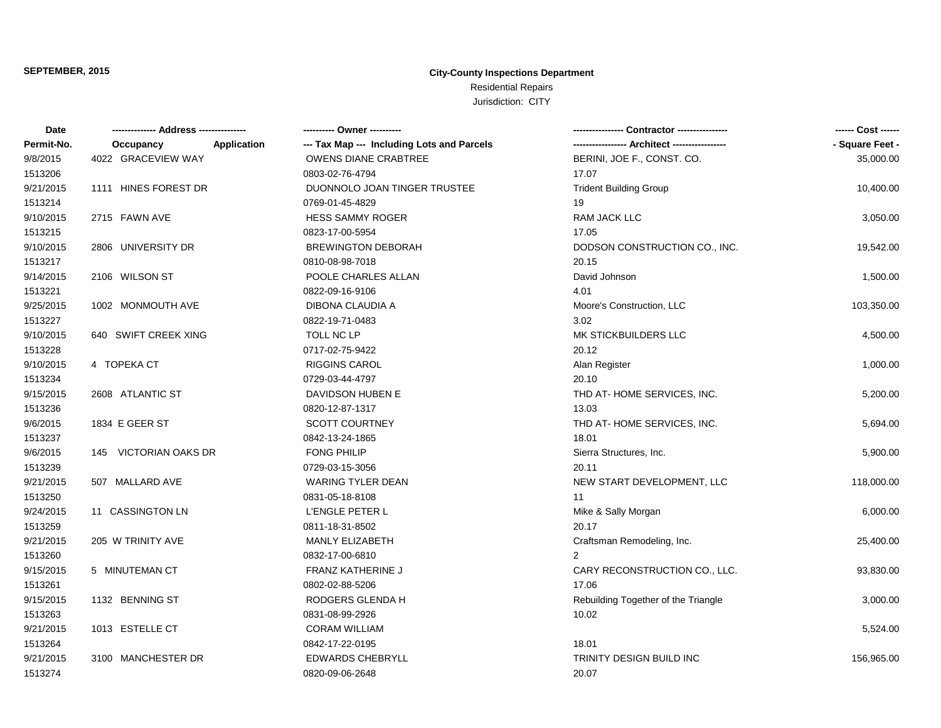| Date       |                                 |                                            |                                     | ------ Cost ------ |
|------------|---------------------------------|--------------------------------------------|-------------------------------------|--------------------|
| Permit-No. | <b>Application</b><br>Occupancy | --- Tax Map --- Including Lots and Parcels | ---- Architect -------              | - Square Feet -    |
| 9/8/2015   | 4022 GRACEVIEW WAY              | <b>OWENS DIANE CRABTREE</b>                | BERINI, JOE F., CONST. CO.          | 35,000.00          |
| 1513206    |                                 | 0803-02-76-4794                            | 17.07                               |                    |
| 9/21/2015  | 1111 HINES FOREST DR            | DUONNOLO JOAN TINGER TRUSTEE               | <b>Trident Building Group</b>       | 10,400.00          |
| 1513214    |                                 | 0769-01-45-4829                            | 19                                  |                    |
| 9/10/2015  | 2715 FAWN AVE                   | HESS SAMMY ROGER                           | RAM JACK LLC                        | 3,050.00           |
| 1513215    |                                 | 0823-17-00-5954                            | 17.05                               |                    |
| 9/10/2015  | 2806 UNIVERSITY DR              | <b>BREWINGTON DEBORAH</b>                  | DODSON CONSTRUCTION CO., INC.       | 19,542.00          |
| 1513217    |                                 | 0810-08-98-7018                            | 20.15                               |                    |
| 9/14/2015  | 2106 WILSON ST                  | POOLE CHARLES ALLAN                        | David Johnson                       | 1,500.00           |
| 1513221    |                                 | 0822-09-16-9106                            | 4.01                                |                    |
| 9/25/2015  | 1002 MONMOUTH AVE               | DIBONA CLAUDIA A                           | Moore's Construction, LLC           | 103,350.00         |
| 1513227    |                                 | 0822-19-71-0483                            | 3.02                                |                    |
| 9/10/2015  | 640 SWIFT CREEK XING            | TOLL NC LP                                 | MK STICKBUILDERS LLC                | 4,500.00           |
| 1513228    |                                 | 0717-02-75-9422                            | 20.12                               |                    |
| 9/10/2015  | 4 TOPEKA CT                     | <b>RIGGINS CAROL</b>                       | Alan Register                       | 1,000.00           |
| 1513234    |                                 | 0729-03-44-4797                            | 20.10                               |                    |
| 9/15/2015  | 2608 ATLANTIC ST                | DAVIDSON HUBEN E                           | THD AT-HOME SERVICES, INC.          | 5,200.00           |
| 1513236    |                                 | 0820-12-87-1317                            | 13.03                               |                    |
| 9/6/2015   | 1834 E GEER ST                  | <b>SCOTT COURTNEY</b>                      | THD AT-HOME SERVICES, INC.          | 5,694.00           |
| 1513237    |                                 | 0842-13-24-1865                            | 18.01                               |                    |
| 9/6/2015   | 145 VICTORIAN OAKS DR           | <b>FONG PHILIP</b>                         | Sierra Structures, Inc.             | 5,900.00           |
| 1513239    |                                 | 0729-03-15-3056                            | 20.11                               |                    |
| 9/21/2015  | 507 MALLARD AVE                 | <b>WARING TYLER DEAN</b>                   | NEW START DEVELOPMENT, LLC          | 118,000.00         |
| 1513250    |                                 | 0831-05-18-8108                            | 11                                  |                    |
| 9/24/2015  | 11 CASSINGTON LN                | L'ENGLE PETER L                            | Mike & Sally Morgan                 | 6,000.00           |
| 1513259    |                                 | 0811-18-31-8502                            | 20.17                               |                    |
| 9/21/2015  | 205 W TRINITY AVE               | MANLY ELIZABETH                            | Craftsman Remodeling, Inc.          | 25,400.00          |
| 1513260    |                                 | 0832-17-00-6810                            | $\overline{2}$                      |                    |
| 9/15/2015  | 5 MINUTEMAN CT                  | FRANZ KATHERINE J                          | CARY RECONSTRUCTION CO., LLC.       | 93,830.00          |
| 1513261    |                                 | 0802-02-88-5206                            | 17.06                               |                    |
| 9/15/2015  | 1132 BENNING ST                 | RODGERS GLENDA H                           | Rebuilding Together of the Triangle | 3,000.00           |
| 1513263    |                                 | 0831-08-99-2926                            | 10.02                               |                    |
| 9/21/2015  | 1013 ESTELLE CT                 | <b>CORAM WILLIAM</b>                       |                                     | 5,524.00           |
| 1513264    |                                 | 0842-17-22-0195                            | 18.01                               |                    |
| 9/21/2015  | 3100 MANCHESTER DR              | <b>EDWARDS CHEBRYLL</b>                    | TRINITY DESIGN BUILD INC            | 156,965.00         |
| 1513274    |                                 | 0820-09-06-2648                            | 20.07                               |                    |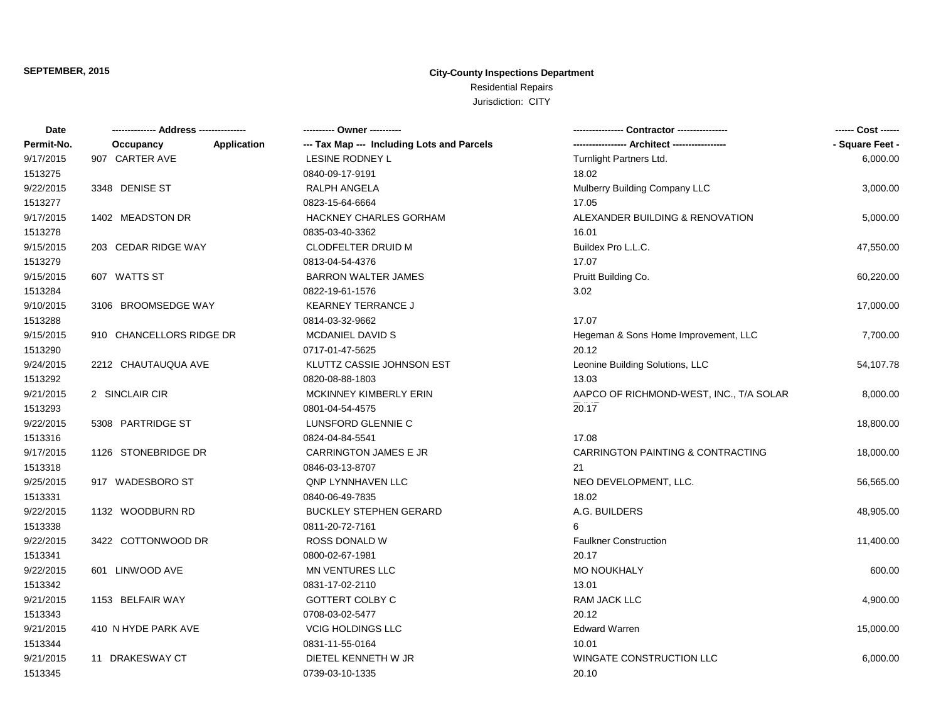| --- Tax Map --- Including Lots and Parcels<br>- Square Feet -<br>Application<br>Occupancy<br>907 CARTER AVE<br>LESINE RODNEY L<br>Turnlight Partners Ltd.<br>6,000.00<br>0840-09-17-9191<br>18.02<br>Mulberry Building Company LLC<br>3348 DENISE ST<br>RALPH ANGELA<br>3,000.00<br>17.05<br>0823-15-64-6664<br><b>HACKNEY CHARLES GORHAM</b><br>ALEXANDER BUILDING & RENOVATION<br>1402 MEADSTON DR<br>5,000.00<br>16.01<br>0835-03-40-3362<br><b>CLODFELTER DRUID M</b><br>203 CEDAR RIDGE WAY<br>Buildex Pro L.L.C.<br>47,550.00<br>17.07<br>0813-04-54-4376<br>607 WATTS ST<br><b>BARRON WALTER JAMES</b><br>Pruitt Building Co.<br>60,220.00<br>0822-19-61-1576<br>3.02<br>3106 BROOMSEDGE WAY<br><b>KEARNEY TERRANCE J</b><br>17,000.00<br>17.07<br>0814-03-32-9662<br>910 CHANCELLORS RIDGE DR<br><b>MCDANIEL DAVID S</b><br>Hegeman & Sons Home Improvement, LLC<br>7,700.00<br>0717-01-47-5625<br>20.12<br>2212 CHAUTAUQUA AVE<br>KLUTTZ CASSIE JOHNSON EST<br>Leonine Building Solutions, LLC<br>54,107.78<br>0820-08-88-1803<br>13.03<br>2 SINCLAIR CIR<br>MCKINNEY KIMBERLY ERIN<br>AAPCO OF RICHMOND-WEST, INC., T/A SOLAR<br>8,000.00<br>20.17<br>0801-04-54-4575<br>5308 PARTRIDGE ST<br>LUNSFORD GLENNIE C<br>18,800.00<br>17.08<br>0824-04-84-5541<br>1126 STONEBRIDGE DR<br>CARRINGTON JAMES E JR<br>CARRINGTON PAINTING & CONTRACTING<br>18,000.00<br>0846-03-13-8707<br>21<br>917 WADESBORO ST<br><b>QNP LYNNHAVEN LLC</b><br>NEO DEVELOPMENT, LLC.<br>56,565.00<br>18.02<br>0840-06-49-7835<br>A.G. BUILDERS<br>1132 WOODBURN RD<br><b>BUCKLEY STEPHEN GERARD</b><br>48,905.00<br>6<br>0811-20-72-7161<br>3422 COTTONWOOD DR<br><b>ROSS DONALD W</b><br><b>Faulkner Construction</b><br>11,400.00<br>0800-02-67-1981<br>20.17<br>601 LINWOOD AVE<br><b>MN VENTURES LLC</b><br><b>MO NOUKHALY</b><br>600.00<br>13.01<br>0831-17-02-2110<br>RAM JACK LLC<br>1153 BELFAIR WAY<br><b>GOTTERT COLBY C</b><br>4,900.00<br>0708-03-02-5477<br>20.12<br>410 N HYDE PARK AVE<br><b>VCIG HOLDINGS LLC</b><br><b>Edward Warren</b><br>15,000.00<br>0831-11-55-0164<br>10.01<br>11 DRAKESWAY CT<br>DIETEL KENNETH W JR<br>WINGATE CONSTRUCTION LLC<br>6,000.00<br>0739-03-10-1335<br>20.10 | Date       |  | ------ Cost ------ |
|-----------------------------------------------------------------------------------------------------------------------------------------------------------------------------------------------------------------------------------------------------------------------------------------------------------------------------------------------------------------------------------------------------------------------------------------------------------------------------------------------------------------------------------------------------------------------------------------------------------------------------------------------------------------------------------------------------------------------------------------------------------------------------------------------------------------------------------------------------------------------------------------------------------------------------------------------------------------------------------------------------------------------------------------------------------------------------------------------------------------------------------------------------------------------------------------------------------------------------------------------------------------------------------------------------------------------------------------------------------------------------------------------------------------------------------------------------------------------------------------------------------------------------------------------------------------------------------------------------------------------------------------------------------------------------------------------------------------------------------------------------------------------------------------------------------------------------------------------------------------------------------------------------------------------------------------------------------------------------------------------------------------------------------------------------------------------------------------------------------------------------------------------------------------------------------------------------|------------|--|--------------------|
|                                                                                                                                                                                                                                                                                                                                                                                                                                                                                                                                                                                                                                                                                                                                                                                                                                                                                                                                                                                                                                                                                                                                                                                                                                                                                                                                                                                                                                                                                                                                                                                                                                                                                                                                                                                                                                                                                                                                                                                                                                                                                                                                                                                                     | Permit-No. |  |                    |
|                                                                                                                                                                                                                                                                                                                                                                                                                                                                                                                                                                                                                                                                                                                                                                                                                                                                                                                                                                                                                                                                                                                                                                                                                                                                                                                                                                                                                                                                                                                                                                                                                                                                                                                                                                                                                                                                                                                                                                                                                                                                                                                                                                                                     | 9/17/2015  |  |                    |
|                                                                                                                                                                                                                                                                                                                                                                                                                                                                                                                                                                                                                                                                                                                                                                                                                                                                                                                                                                                                                                                                                                                                                                                                                                                                                                                                                                                                                                                                                                                                                                                                                                                                                                                                                                                                                                                                                                                                                                                                                                                                                                                                                                                                     | 1513275    |  |                    |
|                                                                                                                                                                                                                                                                                                                                                                                                                                                                                                                                                                                                                                                                                                                                                                                                                                                                                                                                                                                                                                                                                                                                                                                                                                                                                                                                                                                                                                                                                                                                                                                                                                                                                                                                                                                                                                                                                                                                                                                                                                                                                                                                                                                                     | 9/22/2015  |  |                    |
|                                                                                                                                                                                                                                                                                                                                                                                                                                                                                                                                                                                                                                                                                                                                                                                                                                                                                                                                                                                                                                                                                                                                                                                                                                                                                                                                                                                                                                                                                                                                                                                                                                                                                                                                                                                                                                                                                                                                                                                                                                                                                                                                                                                                     | 1513277    |  |                    |
|                                                                                                                                                                                                                                                                                                                                                                                                                                                                                                                                                                                                                                                                                                                                                                                                                                                                                                                                                                                                                                                                                                                                                                                                                                                                                                                                                                                                                                                                                                                                                                                                                                                                                                                                                                                                                                                                                                                                                                                                                                                                                                                                                                                                     | 9/17/2015  |  |                    |
|                                                                                                                                                                                                                                                                                                                                                                                                                                                                                                                                                                                                                                                                                                                                                                                                                                                                                                                                                                                                                                                                                                                                                                                                                                                                                                                                                                                                                                                                                                                                                                                                                                                                                                                                                                                                                                                                                                                                                                                                                                                                                                                                                                                                     | 1513278    |  |                    |
|                                                                                                                                                                                                                                                                                                                                                                                                                                                                                                                                                                                                                                                                                                                                                                                                                                                                                                                                                                                                                                                                                                                                                                                                                                                                                                                                                                                                                                                                                                                                                                                                                                                                                                                                                                                                                                                                                                                                                                                                                                                                                                                                                                                                     | 9/15/2015  |  |                    |
|                                                                                                                                                                                                                                                                                                                                                                                                                                                                                                                                                                                                                                                                                                                                                                                                                                                                                                                                                                                                                                                                                                                                                                                                                                                                                                                                                                                                                                                                                                                                                                                                                                                                                                                                                                                                                                                                                                                                                                                                                                                                                                                                                                                                     | 1513279    |  |                    |
|                                                                                                                                                                                                                                                                                                                                                                                                                                                                                                                                                                                                                                                                                                                                                                                                                                                                                                                                                                                                                                                                                                                                                                                                                                                                                                                                                                                                                                                                                                                                                                                                                                                                                                                                                                                                                                                                                                                                                                                                                                                                                                                                                                                                     | 9/15/2015  |  |                    |
|                                                                                                                                                                                                                                                                                                                                                                                                                                                                                                                                                                                                                                                                                                                                                                                                                                                                                                                                                                                                                                                                                                                                                                                                                                                                                                                                                                                                                                                                                                                                                                                                                                                                                                                                                                                                                                                                                                                                                                                                                                                                                                                                                                                                     | 1513284    |  |                    |
|                                                                                                                                                                                                                                                                                                                                                                                                                                                                                                                                                                                                                                                                                                                                                                                                                                                                                                                                                                                                                                                                                                                                                                                                                                                                                                                                                                                                                                                                                                                                                                                                                                                                                                                                                                                                                                                                                                                                                                                                                                                                                                                                                                                                     | 9/10/2015  |  |                    |
|                                                                                                                                                                                                                                                                                                                                                                                                                                                                                                                                                                                                                                                                                                                                                                                                                                                                                                                                                                                                                                                                                                                                                                                                                                                                                                                                                                                                                                                                                                                                                                                                                                                                                                                                                                                                                                                                                                                                                                                                                                                                                                                                                                                                     | 1513288    |  |                    |
|                                                                                                                                                                                                                                                                                                                                                                                                                                                                                                                                                                                                                                                                                                                                                                                                                                                                                                                                                                                                                                                                                                                                                                                                                                                                                                                                                                                                                                                                                                                                                                                                                                                                                                                                                                                                                                                                                                                                                                                                                                                                                                                                                                                                     | 9/15/2015  |  |                    |
|                                                                                                                                                                                                                                                                                                                                                                                                                                                                                                                                                                                                                                                                                                                                                                                                                                                                                                                                                                                                                                                                                                                                                                                                                                                                                                                                                                                                                                                                                                                                                                                                                                                                                                                                                                                                                                                                                                                                                                                                                                                                                                                                                                                                     | 1513290    |  |                    |
|                                                                                                                                                                                                                                                                                                                                                                                                                                                                                                                                                                                                                                                                                                                                                                                                                                                                                                                                                                                                                                                                                                                                                                                                                                                                                                                                                                                                                                                                                                                                                                                                                                                                                                                                                                                                                                                                                                                                                                                                                                                                                                                                                                                                     | 9/24/2015  |  |                    |
|                                                                                                                                                                                                                                                                                                                                                                                                                                                                                                                                                                                                                                                                                                                                                                                                                                                                                                                                                                                                                                                                                                                                                                                                                                                                                                                                                                                                                                                                                                                                                                                                                                                                                                                                                                                                                                                                                                                                                                                                                                                                                                                                                                                                     | 1513292    |  |                    |
|                                                                                                                                                                                                                                                                                                                                                                                                                                                                                                                                                                                                                                                                                                                                                                                                                                                                                                                                                                                                                                                                                                                                                                                                                                                                                                                                                                                                                                                                                                                                                                                                                                                                                                                                                                                                                                                                                                                                                                                                                                                                                                                                                                                                     | 9/21/2015  |  |                    |
|                                                                                                                                                                                                                                                                                                                                                                                                                                                                                                                                                                                                                                                                                                                                                                                                                                                                                                                                                                                                                                                                                                                                                                                                                                                                                                                                                                                                                                                                                                                                                                                                                                                                                                                                                                                                                                                                                                                                                                                                                                                                                                                                                                                                     | 1513293    |  |                    |
|                                                                                                                                                                                                                                                                                                                                                                                                                                                                                                                                                                                                                                                                                                                                                                                                                                                                                                                                                                                                                                                                                                                                                                                                                                                                                                                                                                                                                                                                                                                                                                                                                                                                                                                                                                                                                                                                                                                                                                                                                                                                                                                                                                                                     | 9/22/2015  |  |                    |
|                                                                                                                                                                                                                                                                                                                                                                                                                                                                                                                                                                                                                                                                                                                                                                                                                                                                                                                                                                                                                                                                                                                                                                                                                                                                                                                                                                                                                                                                                                                                                                                                                                                                                                                                                                                                                                                                                                                                                                                                                                                                                                                                                                                                     | 1513316    |  |                    |
|                                                                                                                                                                                                                                                                                                                                                                                                                                                                                                                                                                                                                                                                                                                                                                                                                                                                                                                                                                                                                                                                                                                                                                                                                                                                                                                                                                                                                                                                                                                                                                                                                                                                                                                                                                                                                                                                                                                                                                                                                                                                                                                                                                                                     | 9/17/2015  |  |                    |
|                                                                                                                                                                                                                                                                                                                                                                                                                                                                                                                                                                                                                                                                                                                                                                                                                                                                                                                                                                                                                                                                                                                                                                                                                                                                                                                                                                                                                                                                                                                                                                                                                                                                                                                                                                                                                                                                                                                                                                                                                                                                                                                                                                                                     | 1513318    |  |                    |
|                                                                                                                                                                                                                                                                                                                                                                                                                                                                                                                                                                                                                                                                                                                                                                                                                                                                                                                                                                                                                                                                                                                                                                                                                                                                                                                                                                                                                                                                                                                                                                                                                                                                                                                                                                                                                                                                                                                                                                                                                                                                                                                                                                                                     | 9/25/2015  |  |                    |
|                                                                                                                                                                                                                                                                                                                                                                                                                                                                                                                                                                                                                                                                                                                                                                                                                                                                                                                                                                                                                                                                                                                                                                                                                                                                                                                                                                                                                                                                                                                                                                                                                                                                                                                                                                                                                                                                                                                                                                                                                                                                                                                                                                                                     | 1513331    |  |                    |
|                                                                                                                                                                                                                                                                                                                                                                                                                                                                                                                                                                                                                                                                                                                                                                                                                                                                                                                                                                                                                                                                                                                                                                                                                                                                                                                                                                                                                                                                                                                                                                                                                                                                                                                                                                                                                                                                                                                                                                                                                                                                                                                                                                                                     | 9/22/2015  |  |                    |
|                                                                                                                                                                                                                                                                                                                                                                                                                                                                                                                                                                                                                                                                                                                                                                                                                                                                                                                                                                                                                                                                                                                                                                                                                                                                                                                                                                                                                                                                                                                                                                                                                                                                                                                                                                                                                                                                                                                                                                                                                                                                                                                                                                                                     | 1513338    |  |                    |
|                                                                                                                                                                                                                                                                                                                                                                                                                                                                                                                                                                                                                                                                                                                                                                                                                                                                                                                                                                                                                                                                                                                                                                                                                                                                                                                                                                                                                                                                                                                                                                                                                                                                                                                                                                                                                                                                                                                                                                                                                                                                                                                                                                                                     | 9/22/2015  |  |                    |
|                                                                                                                                                                                                                                                                                                                                                                                                                                                                                                                                                                                                                                                                                                                                                                                                                                                                                                                                                                                                                                                                                                                                                                                                                                                                                                                                                                                                                                                                                                                                                                                                                                                                                                                                                                                                                                                                                                                                                                                                                                                                                                                                                                                                     | 1513341    |  |                    |
|                                                                                                                                                                                                                                                                                                                                                                                                                                                                                                                                                                                                                                                                                                                                                                                                                                                                                                                                                                                                                                                                                                                                                                                                                                                                                                                                                                                                                                                                                                                                                                                                                                                                                                                                                                                                                                                                                                                                                                                                                                                                                                                                                                                                     | 9/22/2015  |  |                    |
|                                                                                                                                                                                                                                                                                                                                                                                                                                                                                                                                                                                                                                                                                                                                                                                                                                                                                                                                                                                                                                                                                                                                                                                                                                                                                                                                                                                                                                                                                                                                                                                                                                                                                                                                                                                                                                                                                                                                                                                                                                                                                                                                                                                                     | 1513342    |  |                    |
|                                                                                                                                                                                                                                                                                                                                                                                                                                                                                                                                                                                                                                                                                                                                                                                                                                                                                                                                                                                                                                                                                                                                                                                                                                                                                                                                                                                                                                                                                                                                                                                                                                                                                                                                                                                                                                                                                                                                                                                                                                                                                                                                                                                                     | 9/21/2015  |  |                    |
|                                                                                                                                                                                                                                                                                                                                                                                                                                                                                                                                                                                                                                                                                                                                                                                                                                                                                                                                                                                                                                                                                                                                                                                                                                                                                                                                                                                                                                                                                                                                                                                                                                                                                                                                                                                                                                                                                                                                                                                                                                                                                                                                                                                                     | 1513343    |  |                    |
|                                                                                                                                                                                                                                                                                                                                                                                                                                                                                                                                                                                                                                                                                                                                                                                                                                                                                                                                                                                                                                                                                                                                                                                                                                                                                                                                                                                                                                                                                                                                                                                                                                                                                                                                                                                                                                                                                                                                                                                                                                                                                                                                                                                                     | 9/21/2015  |  |                    |
|                                                                                                                                                                                                                                                                                                                                                                                                                                                                                                                                                                                                                                                                                                                                                                                                                                                                                                                                                                                                                                                                                                                                                                                                                                                                                                                                                                                                                                                                                                                                                                                                                                                                                                                                                                                                                                                                                                                                                                                                                                                                                                                                                                                                     | 1513344    |  |                    |
|                                                                                                                                                                                                                                                                                                                                                                                                                                                                                                                                                                                                                                                                                                                                                                                                                                                                                                                                                                                                                                                                                                                                                                                                                                                                                                                                                                                                                                                                                                                                                                                                                                                                                                                                                                                                                                                                                                                                                                                                                                                                                                                                                                                                     | 9/21/2015  |  |                    |
|                                                                                                                                                                                                                                                                                                                                                                                                                                                                                                                                                                                                                                                                                                                                                                                                                                                                                                                                                                                                                                                                                                                                                                                                                                                                                                                                                                                                                                                                                                                                                                                                                                                                                                                                                                                                                                                                                                                                                                                                                                                                                                                                                                                                     | 1513345    |  |                    |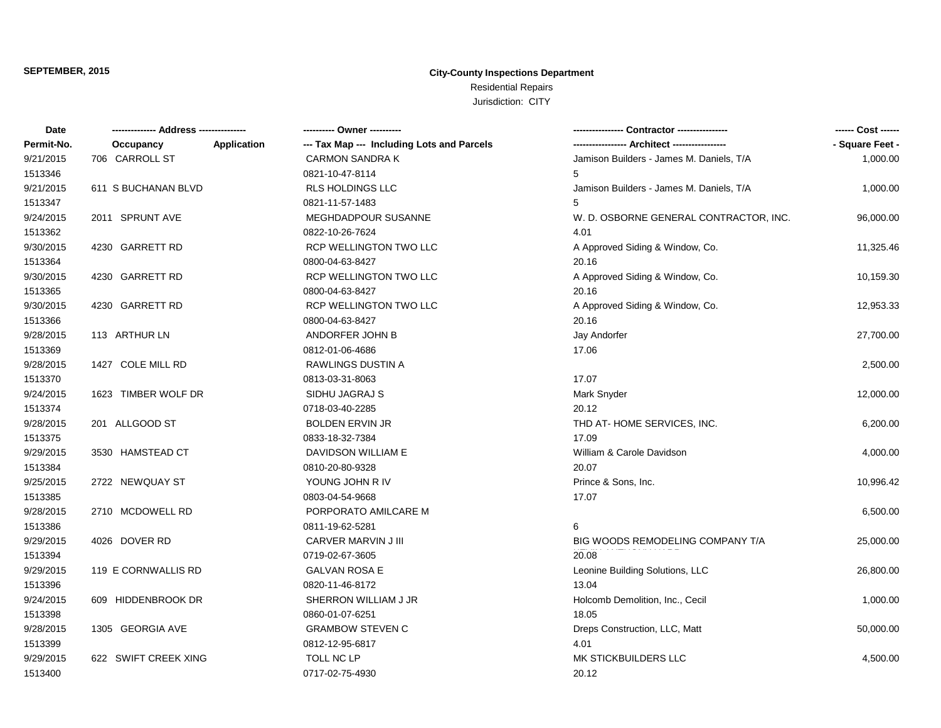| Date       |                      |                    | ---------- Owner ----------                |                                          | ------ Cost ------ |
|------------|----------------------|--------------------|--------------------------------------------|------------------------------------------|--------------------|
| Permit-No. | Occupancy            | <b>Application</b> | --- Tax Map --- Including Lots and Parcels | --- Architect -----------------          | - Square Feet -    |
| 9/21/2015  | 706 CARROLL ST       |                    | <b>CARMON SANDRA K</b>                     | Jamison Builders - James M. Daniels, T/A | 1,000.00           |
| 1513346    |                      |                    | 0821-10-47-8114                            | 5                                        |                    |
| 9/21/2015  | 611 S BUCHANAN BLVD  |                    | <b>RLS HOLDINGS LLC</b>                    | Jamison Builders - James M. Daniels, T/A | 1,000.00           |
| 1513347    |                      |                    | 0821-11-57-1483                            | 5                                        |                    |
| 9/24/2015  | 2011 SPRUNT AVE      |                    | MEGHDADPOUR SUSANNE                        | W. D. OSBORNE GENERAL CONTRACTOR, INC.   | 96,000.00          |
| 1513362    |                      |                    | 0822-10-26-7624                            | 4.01                                     |                    |
| 9/30/2015  | 4230 GARRETT RD      |                    | RCP WELLINGTON TWO LLC                     | A Approved Siding & Window, Co.          | 11,325.46          |
| 1513364    |                      |                    | 0800-04-63-8427                            | 20.16                                    |                    |
| 9/30/2015  | 4230 GARRETT RD      |                    | RCP WELLINGTON TWO LLC                     | A Approved Siding & Window, Co.          | 10,159.30          |
| 1513365    |                      |                    | 0800-04-63-8427                            | 20.16                                    |                    |
| 9/30/2015  | 4230 GARRETT RD      |                    | <b>RCP WELLINGTON TWO LLC</b>              | A Approved Siding & Window, Co.          | 12,953.33          |
| 1513366    |                      |                    | 0800-04-63-8427                            | 20.16                                    |                    |
| 9/28/2015  | 113 ARTHUR LN        |                    | ANDORFER JOHN B                            | Jay Andorfer                             | 27,700.00          |
| 1513369    |                      |                    | 0812-01-06-4686                            | 17.06                                    |                    |
| 9/28/2015  | 1427 COLE MILL RD    |                    | RAWLINGS DUSTIN A                          |                                          | 2,500.00           |
| 1513370    |                      |                    | 0813-03-31-8063                            | 17.07                                    |                    |
| 9/24/2015  | 1623 TIMBER WOLF DR  |                    | SIDHU JAGRAJ S                             | Mark Snyder                              | 12,000.00          |
| 1513374    |                      |                    | 0718-03-40-2285                            | 20.12                                    |                    |
| 9/28/2015  | 201 ALLGOOD ST       |                    | <b>BOLDEN ERVIN JR</b>                     | THD AT-HOME SERVICES, INC.               | 6,200.00           |
| 1513375    |                      |                    | 0833-18-32-7384                            | 17.09                                    |                    |
| 9/29/2015  | 3530 HAMSTEAD CT     |                    | DAVIDSON WILLIAM E                         | William & Carole Davidson                | 4,000.00           |
| 1513384    |                      |                    | 0810-20-80-9328                            | 20.07                                    |                    |
| 9/25/2015  | 2722 NEWQUAY ST      |                    | YOUNG JOHN R IV                            | Prince & Sons, Inc.                      | 10,996.42          |
| 1513385    |                      |                    | 0803-04-54-9668                            | 17.07                                    |                    |
| 9/28/2015  | 2710 MCDOWELL RD     |                    | PORPORATO AMILCARE M                       |                                          | 6,500.00           |
| 1513386    |                      |                    | 0811-19-62-5281                            | 6                                        |                    |
| 9/29/2015  | 4026 DOVER RD        |                    | CARVER MARVIN J III                        | BIG WOODS REMODELING COMPANY T/A         | 25,000.00          |
| 1513394    |                      |                    | 0719-02-67-3605                            | 20.08                                    |                    |
| 9/29/2015  | 119 E CORNWALLIS RD  |                    | <b>GALVAN ROSA E</b>                       | Leonine Building Solutions, LLC          | 26,800.00          |
| 1513396    |                      |                    | 0820-11-46-8172                            | 13.04                                    |                    |
| 9/24/2015  | 609 HIDDENBROOK DR   |                    | SHERRON WILLIAM J JR                       | Holcomb Demolition, Inc., Cecil          | 1,000.00           |
| 1513398    |                      |                    | 0860-01-07-6251                            | 18.05                                    |                    |
| 9/28/2015  | 1305 GEORGIA AVE     |                    | <b>GRAMBOW STEVEN C</b>                    | Dreps Construction, LLC, Matt            | 50,000.00          |
| 1513399    |                      |                    | 0812-12-95-6817                            | 4.01                                     |                    |
| 9/29/2015  | 622 SWIFT CREEK XING |                    | TOLL NC LP                                 | MK STICKBUILDERS LLC                     | 4,500.00           |
| 1513400    |                      |                    | 0717-02-75-4930                            | 20.12                                    |                    |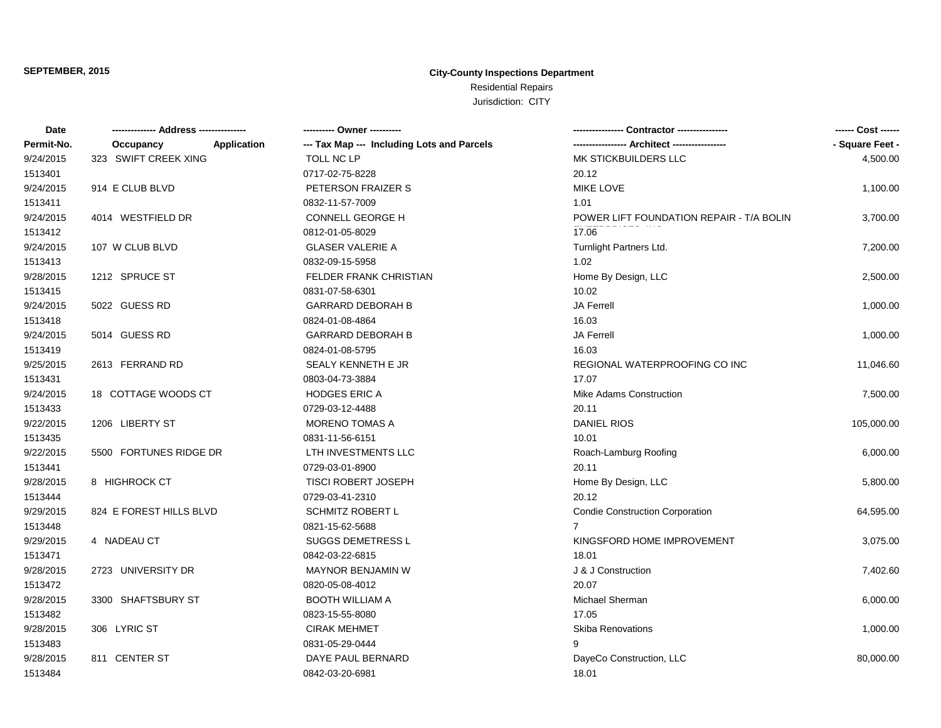| Date       |                         | ---------- Owner ----------                               |                                             | ------ Cost ------ |
|------------|-------------------------|-----------------------------------------------------------|---------------------------------------------|--------------------|
| Permit-No. | Occupancy               | Application<br>--- Tax Map --- Including Lots and Parcels | ---------------- Architect ---------------- | - Square Feet -    |
| 9/24/2015  | 323 SWIFT CREEK XING    | TOLL NC LP                                                | MK STICKBUILDERS LLC                        | 4,500.00           |
| 1513401    |                         | 0717-02-75-8228                                           | 20.12                                       |                    |
| 9/24/2015  | 914 E CLUB BLVD         | PETERSON FRAIZER S                                        | <b>MIKE LOVE</b>                            | 1,100.00           |
| 1513411    |                         | 0832-11-57-7009                                           | 1.01                                        |                    |
| 9/24/2015  | 4014 WESTFIELD DR       | <b>CONNELL GEORGE H</b>                                   | POWER LIFT FOUNDATION REPAIR - T/A BOLIN    | 3,700.00           |
| 1513412    |                         | 0812-01-05-8029                                           | 17.06                                       |                    |
| 9/24/2015  | 107 W CLUB BLVD         | <b>GLASER VALERIE A</b>                                   | Turnlight Partners Ltd.                     | 7,200.00           |
| 1513413    |                         | 0832-09-15-5958                                           | 1.02                                        |                    |
| 9/28/2015  | 1212 SPRUCE ST          | FELDER FRANK CHRISTIAN                                    | Home By Design, LLC                         | 2,500.00           |
| 1513415    |                         | 0831-07-58-6301                                           | 10.02                                       |                    |
| 9/24/2015  | 5022 GUESS RD           | <b>GARRARD DEBORAH B</b>                                  | <b>JA Ferrell</b>                           | 1,000.00           |
| 1513418    |                         | 0824-01-08-4864                                           | 16.03                                       |                    |
| 9/24/2015  | 5014 GUESS RD           | <b>GARRARD DEBORAH B</b>                                  | <b>JA Ferrell</b>                           | 1,000.00           |
| 1513419    |                         | 0824-01-08-5795                                           | 16.03                                       |                    |
| 9/25/2015  | 2613 FERRAND RD         | SEALY KENNETH E JR                                        | REGIONAL WATERPROOFING CO INC               | 11,046.60          |
| 1513431    |                         | 0803-04-73-3884                                           | 17.07                                       |                    |
| 9/24/2015  | 18 COTTAGE WOODS CT     | <b>HODGES ERIC A</b>                                      | Mike Adams Construction                     | 7,500.00           |
| 1513433    |                         | 0729-03-12-4488                                           | 20.11                                       |                    |
| 9/22/2015  | 1206 LIBERTY ST         | <b>MORENO TOMAS A</b>                                     | <b>DANIEL RIOS</b>                          | 105,000.00         |
| 1513435    |                         | 0831-11-56-6151                                           | 10.01                                       |                    |
| 9/22/2015  | 5500 FORTUNES RIDGE DR  | LTH INVESTMENTS LLC                                       | Roach-Lamburg Roofing                       | 6,000.00           |
| 1513441    |                         | 0729-03-01-8900                                           | 20.11                                       |                    |
| 9/28/2015  | 8 HIGHROCK CT           | <b>TISCI ROBERT JOSEPH</b>                                | Home By Design, LLC                         | 5,800.00           |
| 1513444    |                         | 0729-03-41-2310                                           | 20.12                                       |                    |
| 9/29/2015  | 824 E FOREST HILLS BLVD | <b>SCHMITZ ROBERT L</b>                                   | <b>Condie Construction Corporation</b>      | 64,595.00          |
| 1513448    |                         | 0821-15-62-5688                                           | $7^{\circ}$                                 |                    |
| 9/29/2015  | 4 NADEAU CT             | <b>SUGGS DEMETRESS L</b>                                  | KINGSFORD HOME IMPROVEMENT                  | 3,075.00           |
| 1513471    |                         | 0842-03-22-6815                                           | 18.01                                       |                    |
| 9/28/2015  | 2723 UNIVERSITY DR      | <b>MAYNOR BENJAMIN W</b>                                  | J & J Construction                          | 7,402.60           |
| 1513472    |                         | 0820-05-08-4012                                           | 20.07                                       |                    |
| 9/28/2015  | 3300 SHAFTSBURY ST      | <b>BOOTH WILLIAM A</b>                                    | Michael Sherman                             | 6,000.00           |
| 1513482    |                         | 0823-15-55-8080                                           | 17.05                                       |                    |
| 9/28/2015  | 306 LYRIC ST            | <b>CIRAK MEHMET</b>                                       | Skiba Renovations                           | 1,000.00           |
| 1513483    |                         | 0831-05-29-0444                                           | 9                                           |                    |
| 9/28/2015  | 811 CENTER ST           | DAYE PAUL BERNARD                                         | DayeCo Construction, LLC                    | 80,000.00          |
| 1513484    |                         | 0842-03-20-6981                                           | 18.01                                       |                    |
|            |                         |                                                           |                                             |                    |